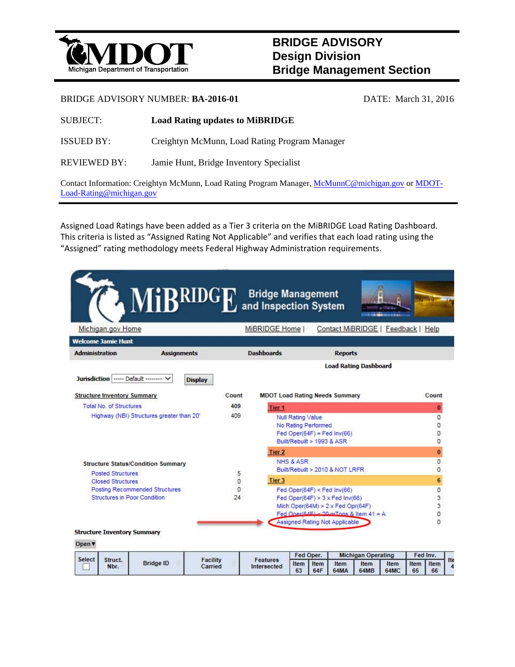

## **BRIDGE ADVISORY Design Division Bridge Management Section**

## BRIDGE ADVISORY NUMBER: **BA-2016-01** DATE: March 31, 2016

| <b>SUBJECT:</b> | <b>Load Rating updates to MiBRIDGE</b> |
|-----------------|----------------------------------------|
|-----------------|----------------------------------------|

ISSUED BY: Creightyn McMunn, Load Rating Program Manager

REVIEWED BY: Jamie Hunt, Bridge Inventory Specialist

Contact Information: Creightyn McMunn, Load Rating Program Manager, McMunnC@michigan.gov or MDOT-Load-Rating@michigan.gov

Assigned Load Ratings have been added as a Tier 3 criteria on the MiBRIDGE Load Rating Dashboard. This criteria is listed as "Assigned Rating Not Applicable" and verifies that each load rating using the "Assigned" rating methodology meets Federal Highway Administration requirements.

|                                                    | <b>A MIBRIDGE</b> |                                                                                    | <b>Bridge Management</b><br>and Inspection System |            |                                                                   |                                |                                        |              |                                |                   |
|----------------------------------------------------|-------------------|------------------------------------------------------------------------------------|---------------------------------------------------|------------|-------------------------------------------------------------------|--------------------------------|----------------------------------------|--------------|--------------------------------|-------------------|
| Michigan.gov Home                                  |                   |                                                                                    | MiBRIDGE Home                                     |            |                                                                   |                                | Contact MiBRIDGE   Feedback   Help     |              |                                |                   |
| <b>Welcome Jamie Hunt</b><br><b>Administration</b> |                   | <b>Dashboards</b><br><b>Reports</b>                                                |                                                   |            |                                                                   |                                |                                        |              |                                |                   |
|                                                    |                   | <b>Load Rating Dashboard</b>                                                       |                                                   |            |                                                                   |                                |                                        |              |                                |                   |
| Jurisdiction ----- Default --------                | <b>Display</b>    |                                                                                    |                                                   |            |                                                                   |                                |                                        |              |                                |                   |
| <b>Structure Inventory Summary</b>                 |                   | Count                                                                              | <b>MDOT Load Rating Needs Summary</b>             |            |                                                                   |                                |                                        |              |                                | Count             |
| <b>Total No. of Structures</b>                     |                   | 409                                                                                | Tier 1                                            |            |                                                                   |                                |                                        |              |                                | $\bf{0}$          |
| Highway (NBI) Structures greater than 20'          | 409               |                                                                                    | <b>Null Rating Value</b><br>No Rating Performed   |            | $Fed$ Oper $(64F)$ = Fed Inv $(66)$<br>Built/Rebuilt > 1993 & ASR |                                |                                        |              | $\Omega$<br>0<br>O<br>$\Omega$ |                   |
|                                                    |                   |                                                                                    | Tier 2                                            |            |                                                                   |                                |                                        |              |                                | $\mathbf 0$       |
| <b>Structure Status/Condition Summary</b>          |                   | NHS & ASR                                                                          |                                                   |            |                                                                   |                                |                                        |              | $\overline{0}$                 |                   |
| <b>Posted Structures</b>                           | 5                 | Built/Rebuilt > 2010 & NOT LRFR                                                    |                                                   |            |                                                                   |                                |                                        |              | O                              |                   |
| <b>Closed Structures</b>                           |                   | $\Omega$                                                                           | Tier <sub>3</sub>                                 |            |                                                                   |                                |                                        |              |                                | 6                 |
| Posting Recommended Structures                     | O                 | Fed Oper $(64F) <$ Fed Inv $(66)$                                                  |                                                   |            |                                                                   |                                |                                        | O            |                                |                   |
| Structures in Poor Condition                       | 24                | Fed Oper(64F) > $3 \times$ Fed Inv(66)<br>Mich Oper(64M) > $2 \times$ Fed Opr(64F) |                                                   |            |                                                                   |                                |                                        | 3            |                                |                   |
|                                                    |                   |                                                                                    |                                                   |            |                                                                   |                                |                                        |              |                                | 3<br>O            |
|                                                    |                   |                                                                                    |                                                   |            |                                                                   | Assigned Rating Not Applicable | Fed Oner(64E) < 20 mTons & Item 41 = A |              |                                | $\Omega$          |
| <b>Structure Inventory Summary</b>                 |                   |                                                                                    |                                                   |            |                                                                   |                                |                                        |              |                                |                   |
| Open▼                                              |                   |                                                                                    |                                                   |            |                                                                   |                                |                                        |              |                                |                   |
| <b>Select</b>                                      |                   |                                                                                    |                                                   | Fed Oper.  |                                                                   |                                | <b>Michigan Operating</b>              |              | Fed Inv.                       |                   |
| Struct.<br>Nbr.                                    | <b>Bridge ID</b>  | <b>Facility</b><br>Carried                                                         | <b>Features</b><br>Intersected                    | Item<br>63 | Item<br><b>64F</b>                                                | Item<br><b>64MA</b>            | Item<br>64MB                           | Item<br>64MC | Item<br>65                     | Ite<br>Item<br>66 |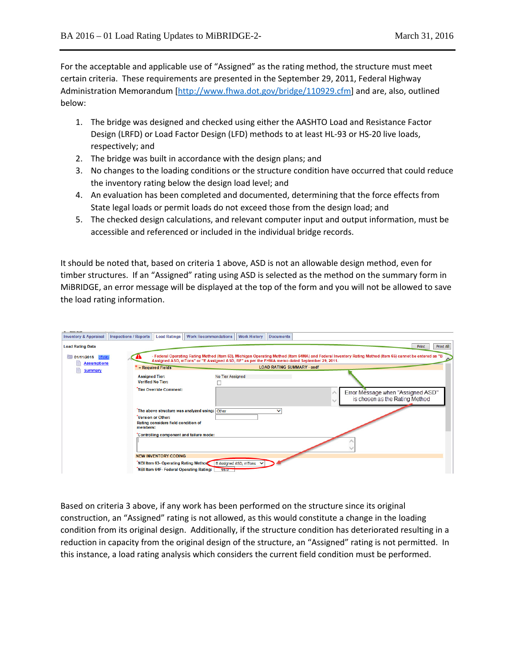For the acceptable and applicable use of "Assigned" as the rating method, the structure must meet certain criteria. These requirements are presented in the September 29, 2011, Federal Highway Administration Memorandum [http://www.fhwa.dot.gov/bridge/110929.cfm] and are, also, outlined below:

- 1. The bridge was designed and checked using either the AASHTO Load and Resistance Factor Design (LRFD) or Load Factor Design (LFD) methods to at least HL‐93 or HS‐20 live loads, respectively; and
- 2. The bridge was built in accordance with the design plans; and
- 3. No changes to the loading conditions or the structure condition have occurred that could reduce the inventory rating below the design load level; and
- 4. An evaluation has been completed and documented, determining that the force effects from State legal loads or permit loads do not exceed those from the design load; and
- 5. The checked design calculations, and relevant computer input and output information, must be accessible and referenced or included in the individual bridge records.

It should be noted that, based on criteria 1 above, ASD is not an allowable design method, even for timber structures. If an "Assigned" rating using ASD is selected as the method on the summary form in MiBRIDGE, an error message will be displayed at the top of the form and you will not be allowed to save the load rating information.

| <b>Assumptions</b><br><b>Summary</b> | Assigned ASD, mTons" or "E Assigned ASD, RF" as per the FHWA memo dated September 29, 2011.<br><b>LOAD RATING SUMMARY - asdf</b><br>* = Required Fields |                  |                                                                     |  |  |
|--------------------------------------|---------------------------------------------------------------------------------------------------------------------------------------------------------|------------------|---------------------------------------------------------------------|--|--|
|                                      | <b>Assigned Tier:</b>                                                                                                                                   | No Tier Assigned |                                                                     |  |  |
|                                      | <b>Verified No Tier:</b>                                                                                                                                |                  |                                                                     |  |  |
|                                      | Tier Override Comment:                                                                                                                                  |                  | Error Message when "Assigned ASD"<br>is chosen as the Rating Method |  |  |
|                                      | The above structure was analyzed using: Other                                                                                                           | $\checkmark$     |                                                                     |  |  |
|                                      | Version or Other:<br>Rating considers field condition of                                                                                                |                  |                                                                     |  |  |
|                                      | members:                                                                                                                                                |                  |                                                                     |  |  |
|                                      | *Controlling component and failure mode:                                                                                                                |                  |                                                                     |  |  |
|                                      |                                                                                                                                                         |                  |                                                                     |  |  |

Based on criteria 3 above, if any work has been performed on the structure since its original construction, an "Assigned" rating is not allowed, as this would constitute a change in the loading condition from its original design. Additionally, if the structure condition has deteriorated resulting in a reduction in capacity from the original design of the structure, an "Assigned" rating is not permitted. In this instance, a load rating analysis which considers the current field condition must be performed.